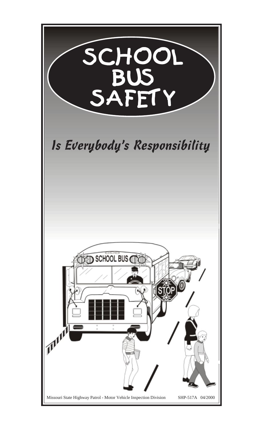